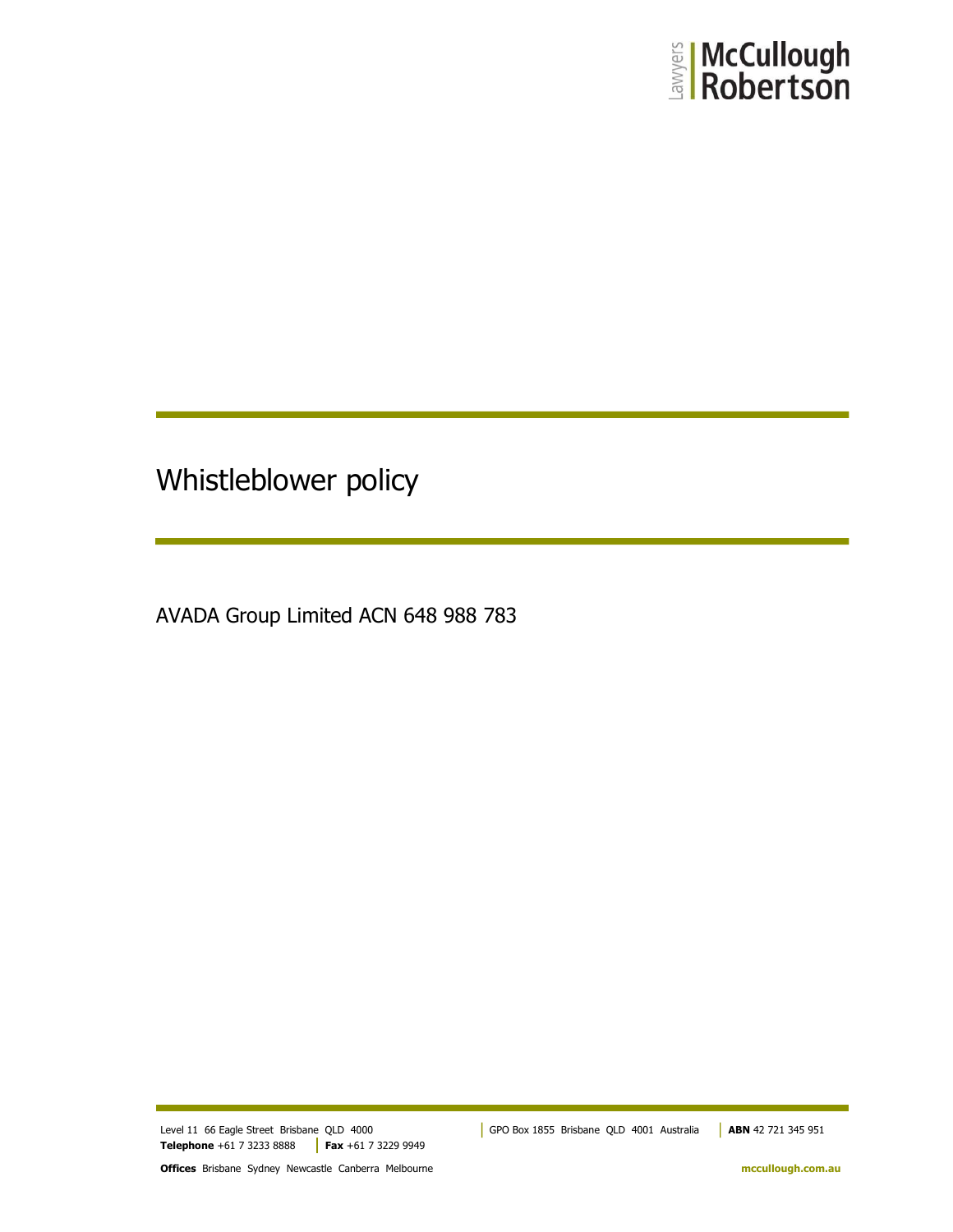

# Whistleblower policy

AVADA Group Limited ACN 648 988 783

**Telephone** +61 7 3233 8888 **Fax** +61 7 3229 9949

Level 11 66 Eagle Street Brisbane QLD 4000 GPO Box 1855 Brisbane QLD 4001 Australia **ABN** 42 721 345 951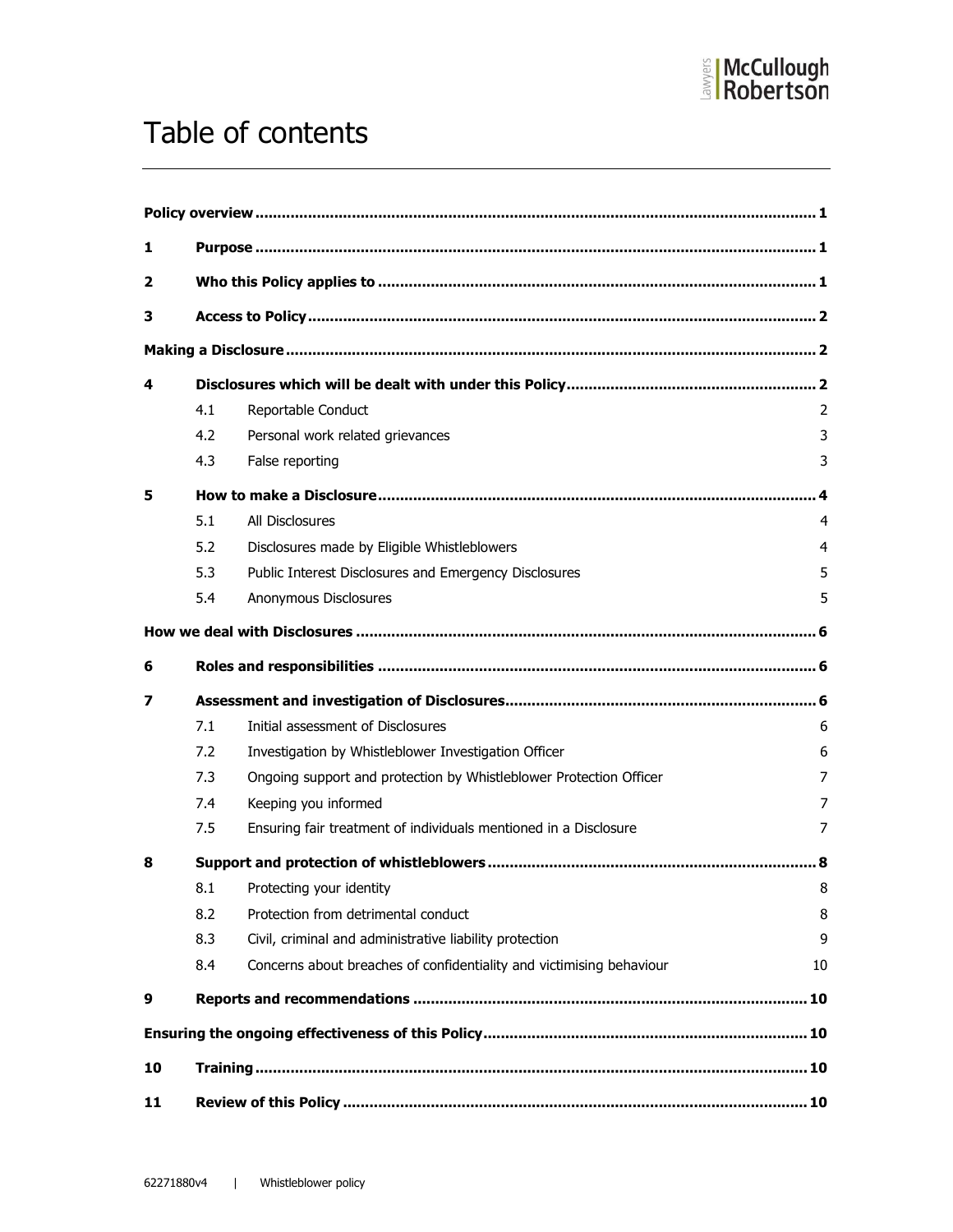

# Table of contents

| 1                       |     |                                                                      |    |  |  |  |
|-------------------------|-----|----------------------------------------------------------------------|----|--|--|--|
| $\overline{\mathbf{2}}$ |     |                                                                      |    |  |  |  |
| 3                       |     |                                                                      |    |  |  |  |
|                         |     |                                                                      |    |  |  |  |
| 4                       |     |                                                                      |    |  |  |  |
|                         | 4.1 | Reportable Conduct                                                   | 2  |  |  |  |
|                         | 4.2 | Personal work related grievances                                     | 3  |  |  |  |
|                         | 4.3 | False reporting                                                      | 3  |  |  |  |
| 5                       |     |                                                                      |    |  |  |  |
|                         | 5.1 | <b>All Disclosures</b>                                               | 4  |  |  |  |
|                         | 5.2 | Disclosures made by Eligible Whistleblowers                          | 4  |  |  |  |
|                         | 5.3 | Public Interest Disclosures and Emergency Disclosures                | 5  |  |  |  |
|                         | 5.4 | Anonymous Disclosures                                                | 5  |  |  |  |
|                         |     |                                                                      |    |  |  |  |
| 6                       |     |                                                                      |    |  |  |  |
| 7                       |     |                                                                      |    |  |  |  |
|                         | 7.1 | Initial assessment of Disclosures                                    | 6  |  |  |  |
|                         | 7.2 | Investigation by Whistleblower Investigation Officer                 | 6  |  |  |  |
|                         | 7.3 | Ongoing support and protection by Whistleblower Protection Officer   | 7  |  |  |  |
|                         | 7.4 | Keeping you informed                                                 | 7  |  |  |  |
|                         | 7.5 | Ensuring fair treatment of individuals mentioned in a Disclosure     | 7  |  |  |  |
| 8                       |     |                                                                      |    |  |  |  |
|                         | 8.1 | Protecting your identity                                             | 8  |  |  |  |
|                         | 8.2 | Protection from detrimental conduct                                  | 8  |  |  |  |
|                         | 8.3 | Civil, criminal and administrative liability protection              | 9  |  |  |  |
|                         | 8.4 | Concerns about breaches of confidentiality and victimising behaviour | 10 |  |  |  |
| 9                       |     |                                                                      |    |  |  |  |
|                         |     |                                                                      |    |  |  |  |
| 10                      |     |                                                                      |    |  |  |  |
| 11                      |     |                                                                      |    |  |  |  |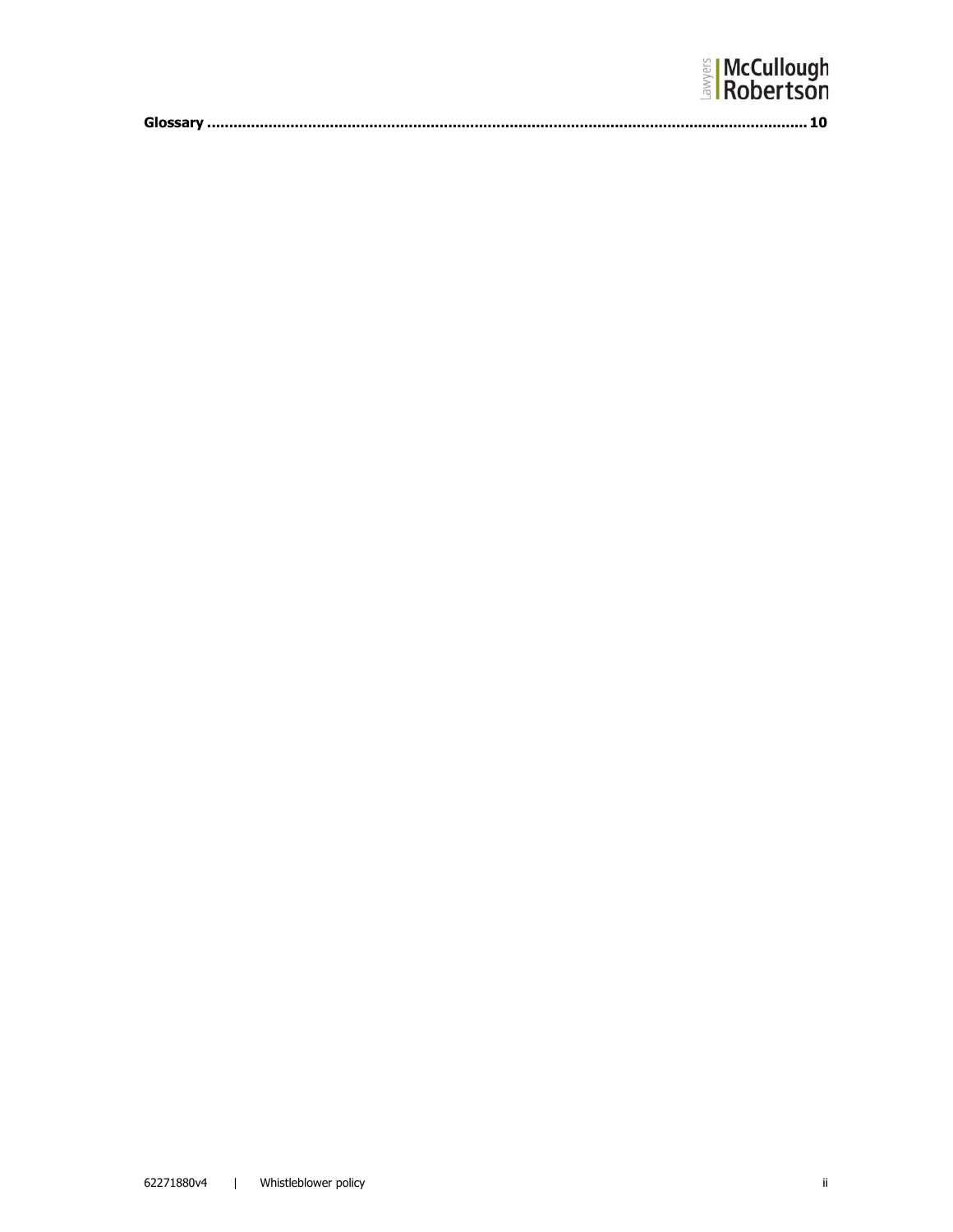| <b>El McCullough</b><br>$\frac{1}{3}$ Robertson |
|-------------------------------------------------|
|                                                 |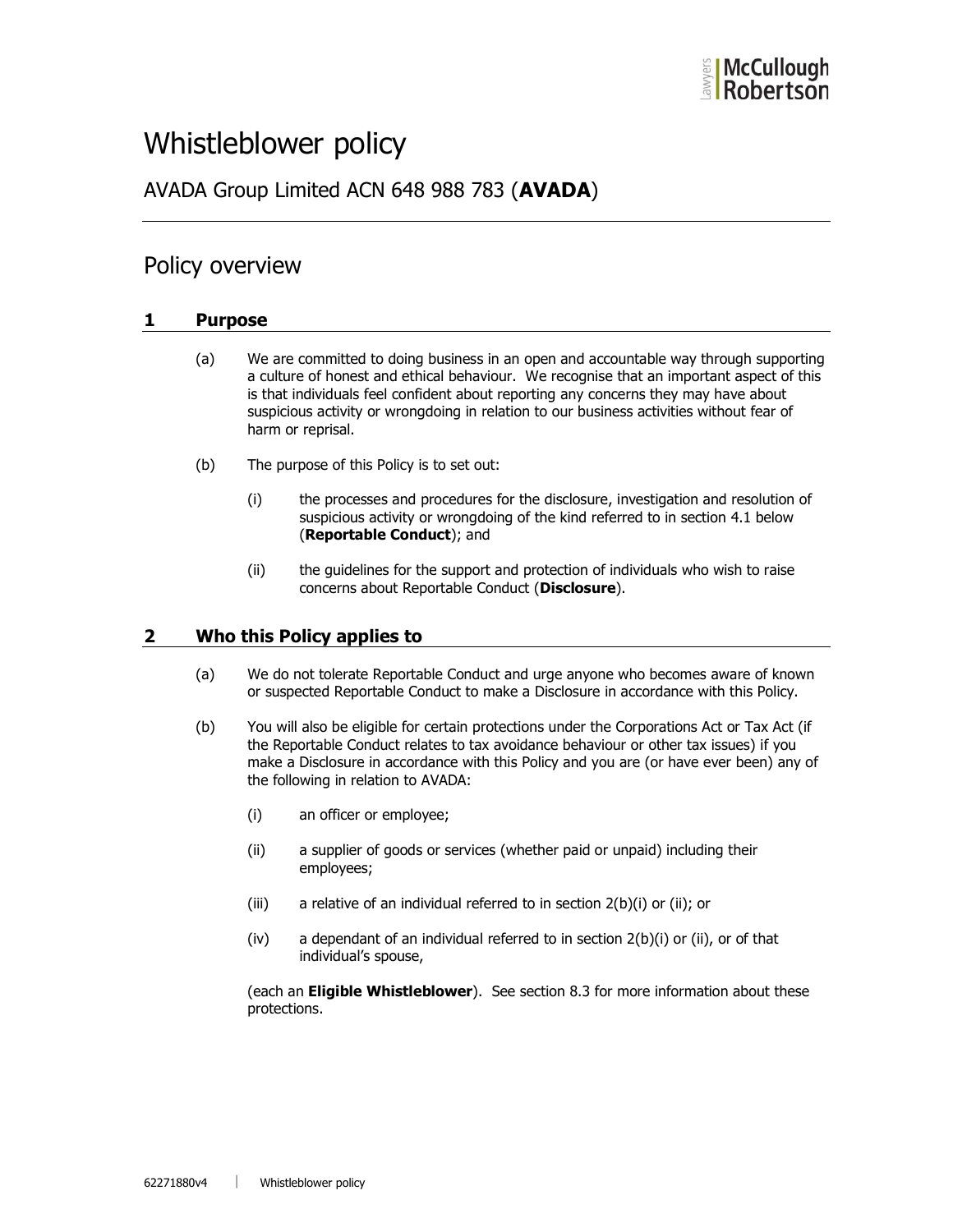# Whistleblower policy

# AVADA Group Limited ACN 648 988 783 (AVADA)

## Policy overview

## 1 Purpose

- (a) We are committed to doing business in an open and accountable way through supporting a culture of honest and ethical behaviour. We recognise that an important aspect of this is that individuals feel confident about reporting any concerns they may have about suspicious activity or wrongdoing in relation to our business activities without fear of harm or reprisal.
- (b) The purpose of this Policy is to set out:
	- (i) the processes and procedures for the disclosure, investigation and resolution of suspicious activity or wrongdoing of the kind referred to in section 4.1 below (Reportable Conduct); and
	- (ii) the guidelines for the support and protection of individuals who wish to raise concerns about Reportable Conduct (Disclosure).

## 2 Who this Policy applies to

- (a) We do not tolerate Reportable Conduct and urge anyone who becomes aware of known or suspected Reportable Conduct to make a Disclosure in accordance with this Policy.
- (b) You will also be eligible for certain protections under the Corporations Act or Tax Act (if the Reportable Conduct relates to tax avoidance behaviour or other tax issues) if you make a Disclosure in accordance with this Policy and you are (or have ever been) any of the following in relation to AVADA:
	- (i) an officer or employee;
	- (ii) a supplier of goods or services (whether paid or unpaid) including their employees;
	- (iii) a relative of an individual referred to in section 2(b)(i) or (ii); or
	- $(iv)$  a dependant of an individual referred to in section  $2(b)(i)$  or  $(ii)$ , or of that individual's spouse,

(each an **Eligible Whistleblower**). See section 8.3 for more information about these protections.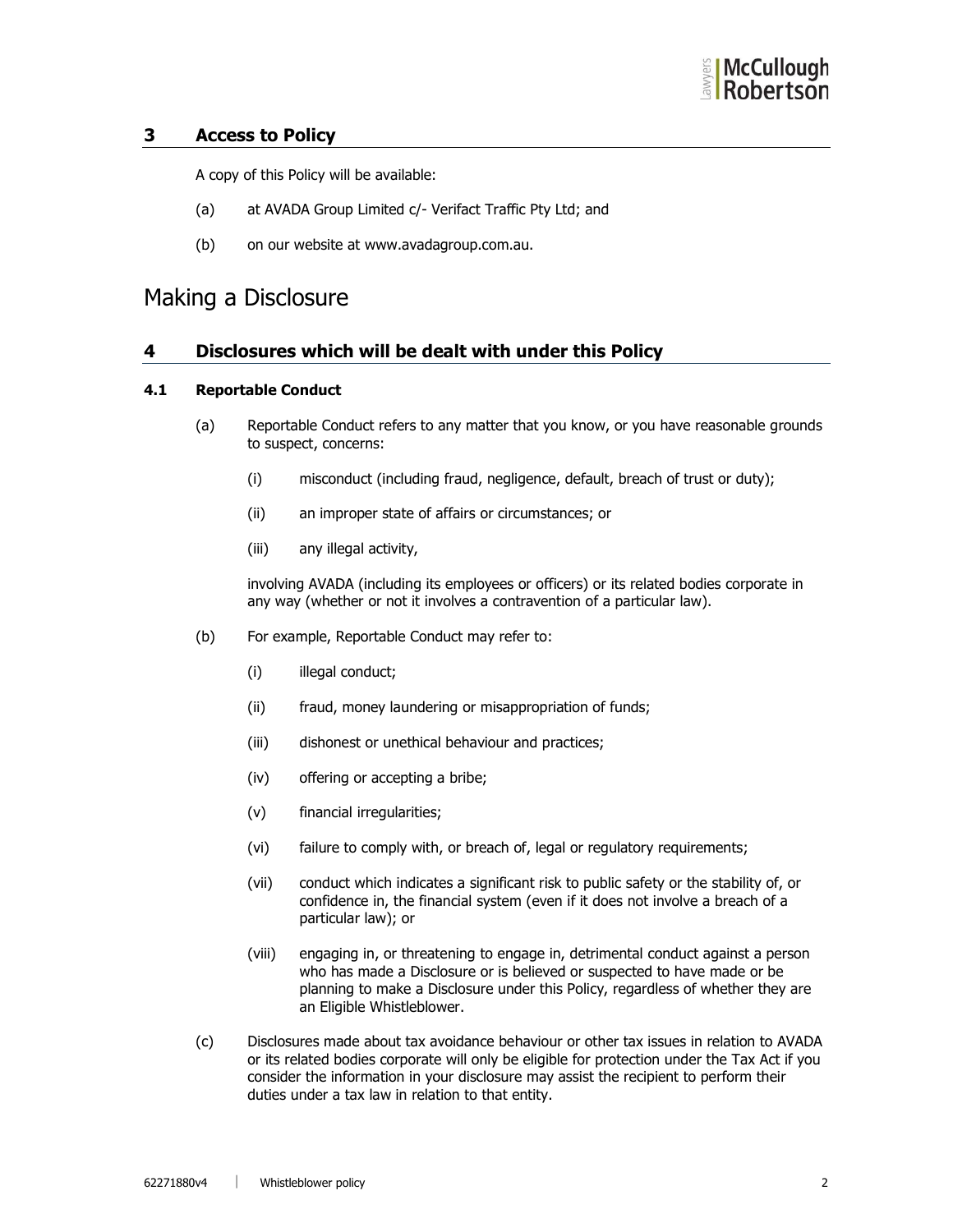## 3 Access to Policy

A copy of this Policy will be available:

- (a) at AVADA Group Limited c/- Verifact Traffic Pty Ltd; and
- (b) on our website at www.avadagroup.com.au.

# Making a Disclosure

## 4 Disclosures which will be dealt with under this Policy

## 4.1 Reportable Conduct

- (a) Reportable Conduct refers to any matter that you know, or you have reasonable grounds to suspect, concerns:
	- (i) misconduct (including fraud, negligence, default, breach of trust or duty);
	- (ii) an improper state of affairs or circumstances; or
	- (iii) any illegal activity,

involving AVADA (including its employees or officers) or its related bodies corporate in any way (whether or not it involves a contravention of a particular law).

- (b) For example, Reportable Conduct may refer to:
	- (i) illegal conduct;
	- (ii) fraud, money laundering or misappropriation of funds;
	- (iii) dishonest or unethical behaviour and practices;
	- (iv) offering or accepting a bribe;
	- (v) financial irregularities;
	- (vi) failure to comply with, or breach of, legal or regulatory requirements;
	- (vii) conduct which indicates a significant risk to public safety or the stability of, or confidence in, the financial system (even if it does not involve a breach of a particular law); or
	- (viii) engaging in, or threatening to engage in, detrimental conduct against a person who has made a Disclosure or is believed or suspected to have made or be planning to make a Disclosure under this Policy, regardless of whether they are an Eligible Whistleblower.
- (c) Disclosures made about tax avoidance behaviour or other tax issues in relation to AVADA or its related bodies corporate will only be eligible for protection under the Tax Act if you consider the information in your disclosure may assist the recipient to perform their duties under a tax law in relation to that entity.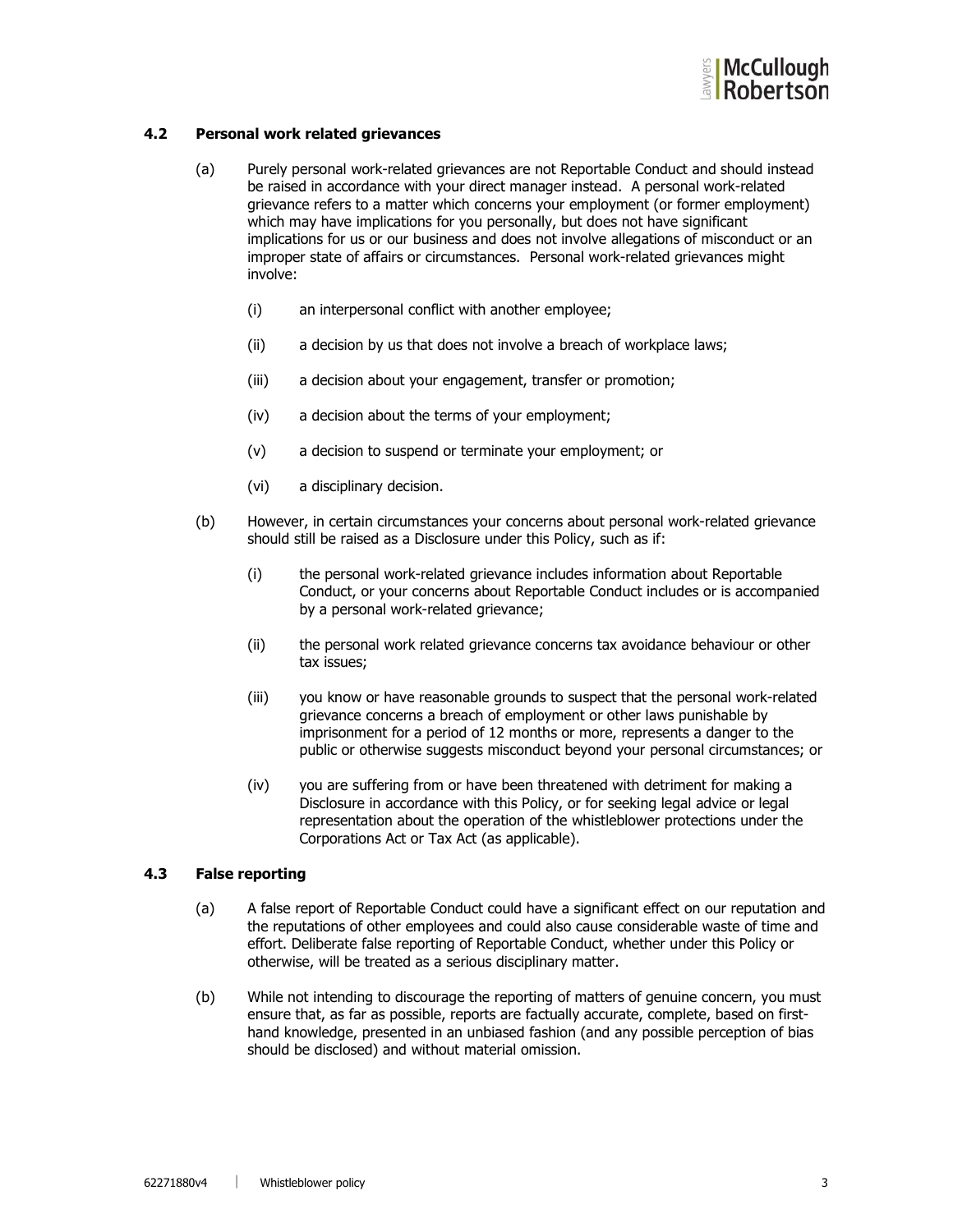

## 4.2 Personal work related grievances

- (a) Purely personal work-related grievances are not Reportable Conduct and should instead be raised in accordance with your direct manager instead. A personal work-related grievance refers to a matter which concerns your employment (or former employment) which may have implications for you personally, but does not have significant implications for us or our business and does not involve allegations of misconduct or an improper state of affairs or circumstances. Personal work-related grievances might involve:
	- (i) an interpersonal conflict with another employee;
	- (ii) a decision by us that does not involve a breach of workplace laws;
	- (iii) a decision about your engagement, transfer or promotion;
	- (iv) a decision about the terms of your employment;
	- (v) a decision to suspend or terminate your employment; or
	- (vi) a disciplinary decision.
- (b) However, in certain circumstances your concerns about personal work-related grievance should still be raised as a Disclosure under this Policy, such as if:
	- (i) the personal work-related grievance includes information about Reportable Conduct, or your concerns about Reportable Conduct includes or is accompanied by a personal work-related grievance;
	- (ii) the personal work related grievance concerns tax avoidance behaviour or other tax issues;
	- (iii) you know or have reasonable grounds to suspect that the personal work-related grievance concerns a breach of employment or other laws punishable by imprisonment for a period of 12 months or more, represents a danger to the public or otherwise suggests misconduct beyond your personal circumstances; or
	- (iv) you are suffering from or have been threatened with detriment for making a Disclosure in accordance with this Policy, or for seeking legal advice or legal representation about the operation of the whistleblower protections under the Corporations Act or Tax Act (as applicable).

## 4.3 False reporting

- (a) A false report of Reportable Conduct could have a significant effect on our reputation and the reputations of other employees and could also cause considerable waste of time and effort. Deliberate false reporting of Reportable Conduct, whether under this Policy or otherwise, will be treated as a serious disciplinary matter.
- (b) While not intending to discourage the reporting of matters of genuine concern, you must ensure that, as far as possible, reports are factually accurate, complete, based on firsthand knowledge, presented in an unbiased fashion (and any possible perception of bias should be disclosed) and without material omission.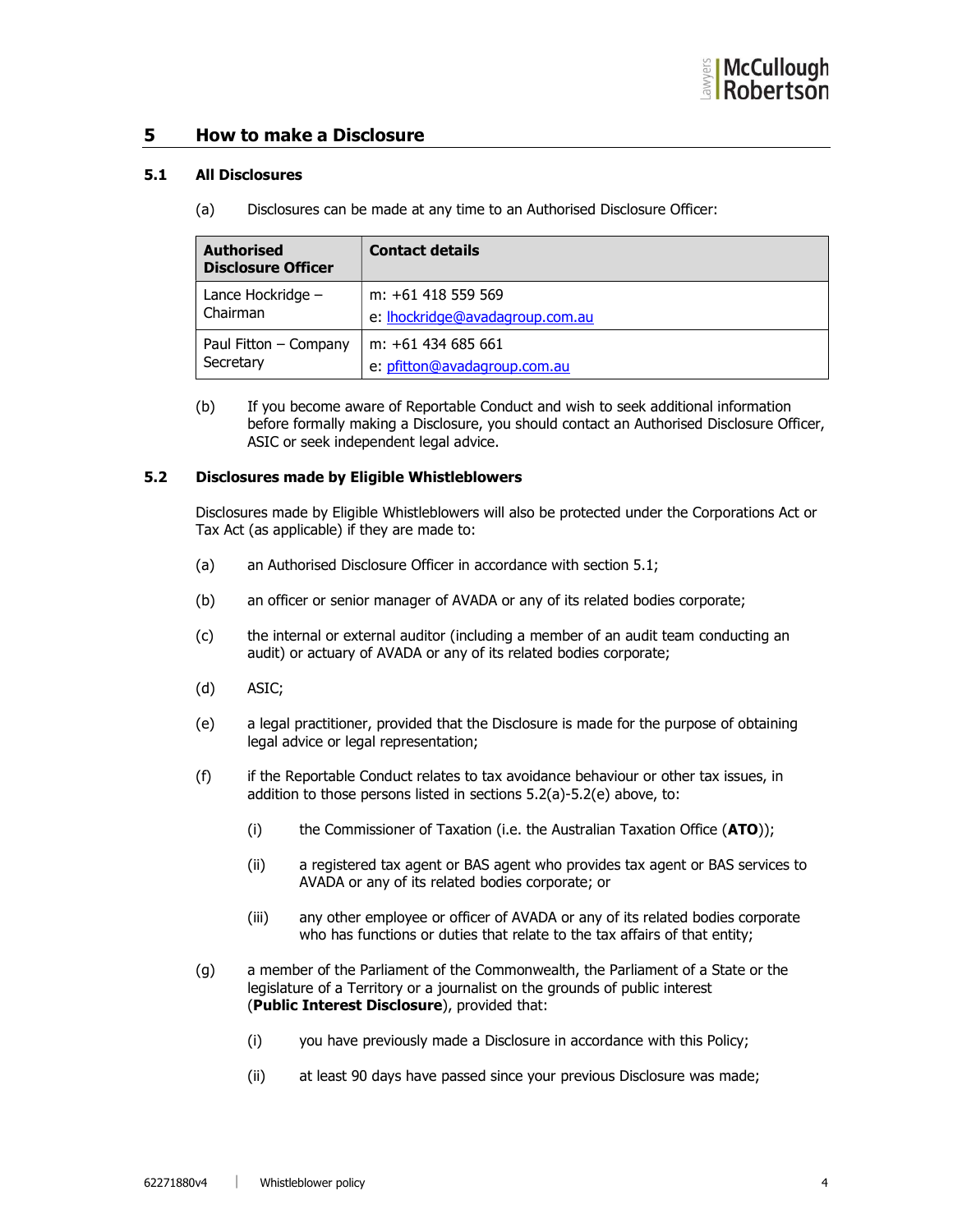## 5 How to make a Disclosure

#### 5.1 All Disclosures

(a) Disclosures can be made at any time to an Authorised Disclosure Officer:

| <b>Authorised</b><br><b>Disclosure Officer</b> | <b>Contact details</b>                 |
|------------------------------------------------|----------------------------------------|
| Lance Hockridge -                              | m: +61 418 559 569                     |
| Chairman                                       | e: <b>Ihockridge@avadagroup.com.au</b> |
| Paul Fitton - Company                          | m: +61 434 685 661                     |
| Secretary                                      | e: pfitton@avadagroup.com.au           |

(b) If you become aware of Reportable Conduct and wish to seek additional information before formally making a Disclosure, you should contact an Authorised Disclosure Officer, ASIC or seek independent legal advice.

#### 5.2 Disclosures made by Eligible Whistleblowers

Disclosures made by Eligible Whistleblowers will also be protected under the Corporations Act or Tax Act (as applicable) if they are made to:

- (a) an Authorised Disclosure Officer in accordance with section 5.1;
- (b) an officer or senior manager of AVADA or any of its related bodies corporate;
- (c) the internal or external auditor (including a member of an audit team conducting an audit) or actuary of AVADA or any of its related bodies corporate;
- (d) ASIC;
- (e) a legal practitioner, provided that the Disclosure is made for the purpose of obtaining legal advice or legal representation;
- (f) if the Reportable Conduct relates to tax avoidance behaviour or other tax issues, in addition to those persons listed in sections 5.2(a)-5.2(e) above, to:
	- (i) the Commissioner of Taxation (i.e. the Australian Taxation Office  $(ATO)$ );
	- (ii) a registered tax agent or BAS agent who provides tax agent or BAS services to AVADA or any of its related bodies corporate; or
	- (iii) any other employee or officer of AVADA or any of its related bodies corporate who has functions or duties that relate to the tax affairs of that entity;
- (g) a member of the Parliament of the Commonwealth, the Parliament of a State or the legislature of a Territory or a journalist on the grounds of public interest (Public Interest Disclosure), provided that:
	- (i) you have previously made a Disclosure in accordance with this Policy;
	- (ii) at least 90 days have passed since your previous Disclosure was made;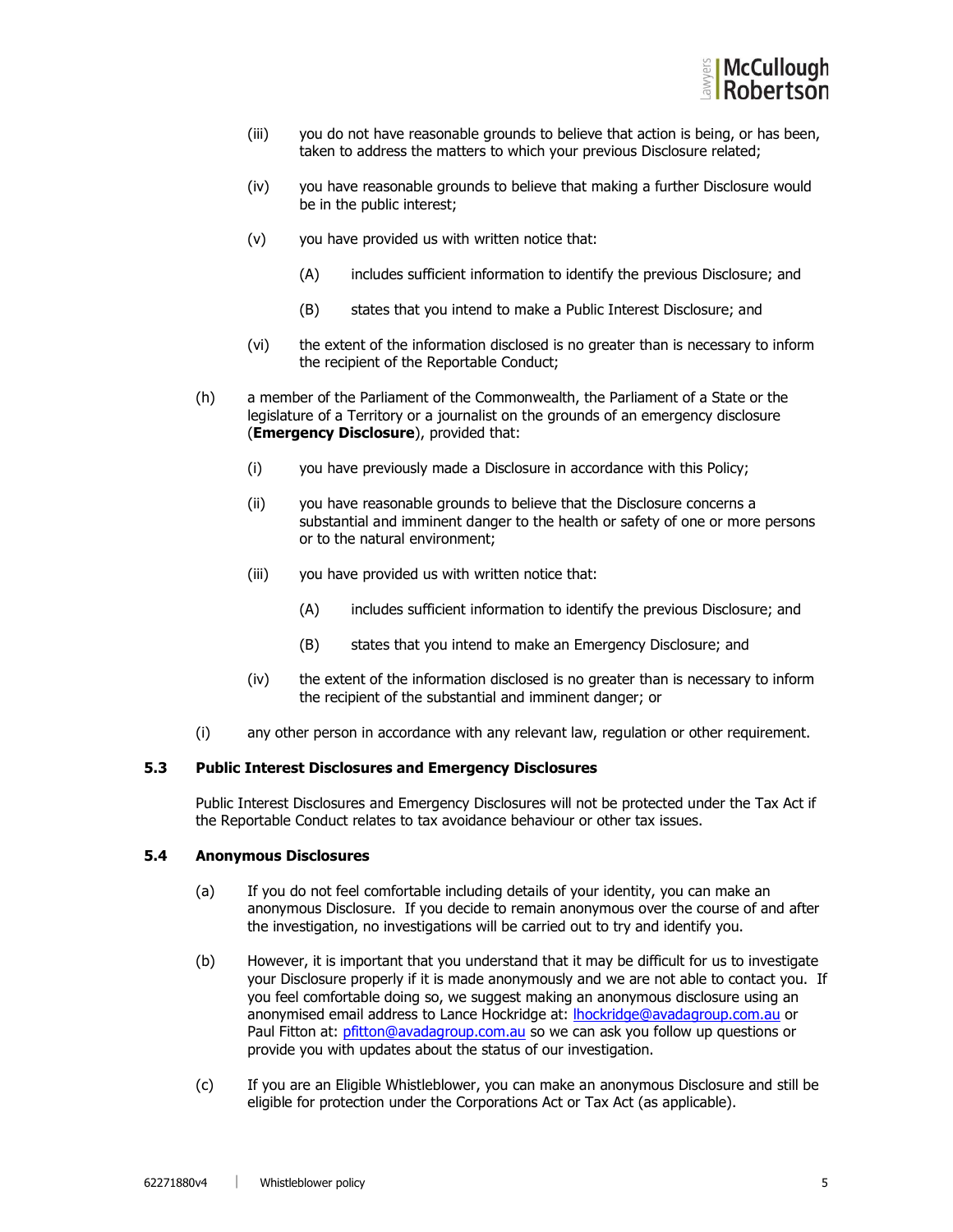

- (iii) you do not have reasonable grounds to believe that action is being, or has been, taken to address the matters to which your previous Disclosure related;
- (iv) you have reasonable grounds to believe that making a further Disclosure would be in the public interest;
- (v) you have provided us with written notice that:
	- (A) includes sufficient information to identify the previous Disclosure; and
	- (B) states that you intend to make a Public Interest Disclosure; and
- (vi) the extent of the information disclosed is no greater than is necessary to inform the recipient of the Reportable Conduct;
- (h) a member of the Parliament of the Commonwealth, the Parliament of a State or the legislature of a Territory or a journalist on the grounds of an emergency disclosure (**Emergency Disclosure**), provided that:
	- (i) you have previously made a Disclosure in accordance with this Policy;
	- (ii) you have reasonable grounds to believe that the Disclosure concerns a substantial and imminent danger to the health or safety of one or more persons or to the natural environment;
	- (iii) you have provided us with written notice that:
		- (A) includes sufficient information to identify the previous Disclosure; and
		- (B) states that you intend to make an Emergency Disclosure; and
	- (iv) the extent of the information disclosed is no greater than is necessary to inform the recipient of the substantial and imminent danger; or
- (i) any other person in accordance with any relevant law, regulation or other requirement.

#### 5.3 Public Interest Disclosures and Emergency Disclosures

Public Interest Disclosures and Emergency Disclosures will not be protected under the Tax Act if the Reportable Conduct relates to tax avoidance behaviour or other tax issues.

#### 5.4 Anonymous Disclosures

- (a) If you do not feel comfortable including details of your identity, you can make an anonymous Disclosure. If you decide to remain anonymous over the course of and after the investigation, no investigations will be carried out to try and identify you.
- (b) However, it is important that you understand that it may be difficult for us to investigate your Disclosure properly if it is made anonymously and we are not able to contact you. If you feel comfortable doing so, we suggest making an anonymous disclosure using an anonymised email address to Lance Hockridge at: lhockridge@avadagroup.com.au or Paul Fitton at: pfitton@avadagroup.com.au so we can ask you follow up questions or provide you with updates about the status of our investigation.
- (c) If you are an Eligible Whistleblower, you can make an anonymous Disclosure and still be eligible for protection under the Corporations Act or Tax Act (as applicable).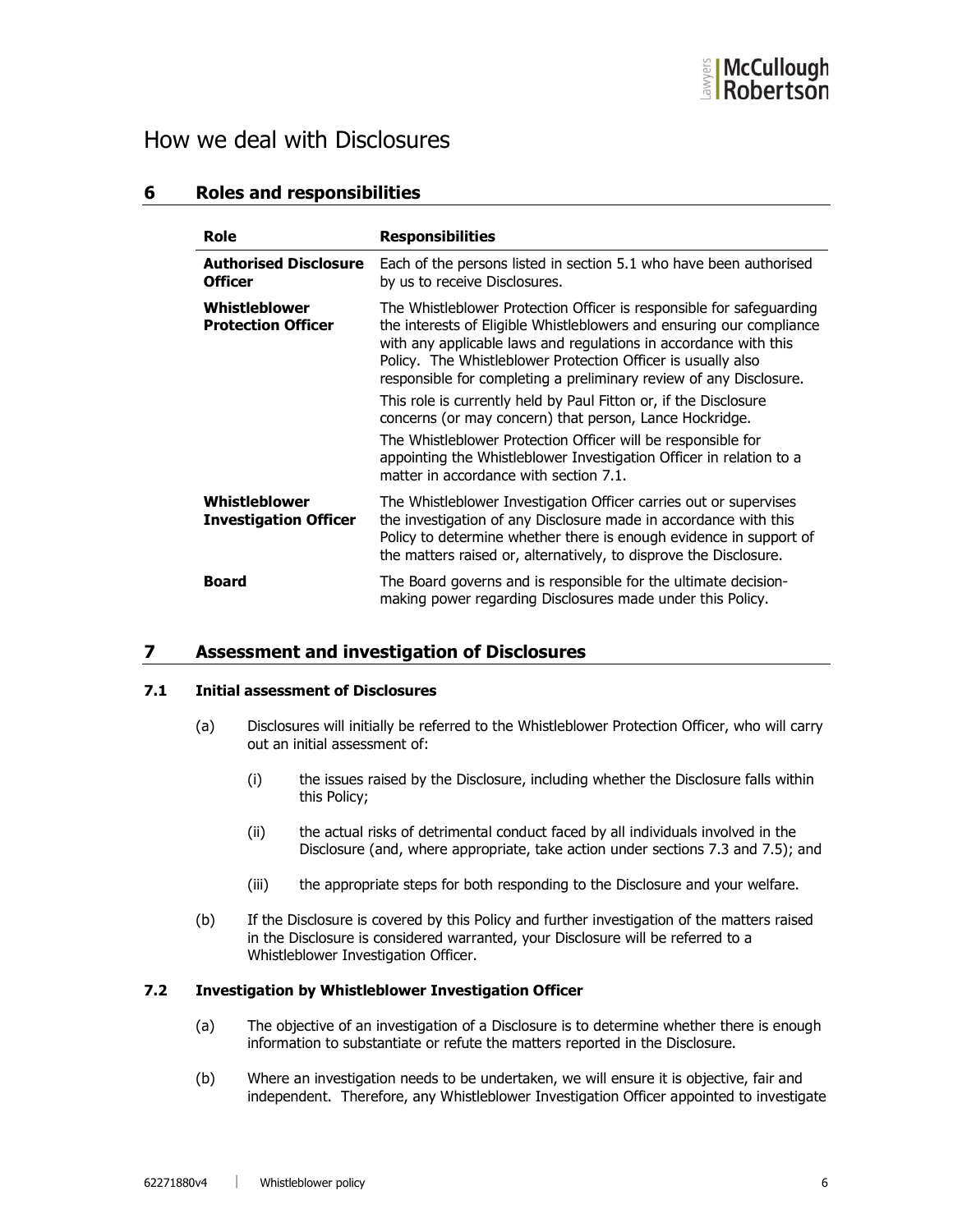

# How we deal with Disclosures

## 6 Roles and responsibilities

| Role                                           | <b>Responsibilities</b>                                                                                                                                                                                                                                                                                                                                                                                                                                                                                                                                                                                                                                                |
|------------------------------------------------|------------------------------------------------------------------------------------------------------------------------------------------------------------------------------------------------------------------------------------------------------------------------------------------------------------------------------------------------------------------------------------------------------------------------------------------------------------------------------------------------------------------------------------------------------------------------------------------------------------------------------------------------------------------------|
| <b>Authorised Disclosure</b><br><b>Officer</b> | Each of the persons listed in section 5.1 who have been authorised<br>by us to receive Disclosures.                                                                                                                                                                                                                                                                                                                                                                                                                                                                                                                                                                    |
| Whistleblower<br><b>Protection Officer</b>     | The Whistleblower Protection Officer is responsible for safeguarding<br>the interests of Eligible Whistleblowers and ensuring our compliance<br>with any applicable laws and regulations in accordance with this<br>Policy. The Whistleblower Protection Officer is usually also<br>responsible for completing a preliminary review of any Disclosure.<br>This role is currently held by Paul Fitton or, if the Disclosure<br>concerns (or may concern) that person, Lance Hockridge.<br>The Whistleblower Protection Officer will be responsible for<br>appointing the Whistleblower Investigation Officer in relation to a<br>matter in accordance with section 7.1. |
| Whistleblower<br><b>Investigation Officer</b>  | The Whistleblower Investigation Officer carries out or supervises<br>the investigation of any Disclosure made in accordance with this<br>Policy to determine whether there is enough evidence in support of<br>the matters raised or, alternatively, to disprove the Disclosure.                                                                                                                                                                                                                                                                                                                                                                                       |
| Board                                          | The Board governs and is responsible for the ultimate decision-<br>making power regarding Disclosures made under this Policy.                                                                                                                                                                                                                                                                                                                                                                                                                                                                                                                                          |

## 7 Assessment and investigation of Disclosures

### 7.1 Initial assessment of Disclosures

- (a) Disclosures will initially be referred to the Whistleblower Protection Officer, who will carry out an initial assessment of:
	- (i) the issues raised by the Disclosure, including whether the Disclosure falls within this Policy;
	- (ii) the actual risks of detrimental conduct faced by all individuals involved in the Disclosure (and, where appropriate, take action under sections 7.3 and 7.5); and
	- (iii) the appropriate steps for both responding to the Disclosure and your welfare.
- (b) If the Disclosure is covered by this Policy and further investigation of the matters raised in the Disclosure is considered warranted, your Disclosure will be referred to a Whistleblower Investigation Officer.

### 7.2 Investigation by Whistleblower Investigation Officer

- (a) The objective of an investigation of a Disclosure is to determine whether there is enough information to substantiate or refute the matters reported in the Disclosure.
- (b) Where an investigation needs to be undertaken, we will ensure it is objective, fair and independent. Therefore, any Whistleblower Investigation Officer appointed to investigate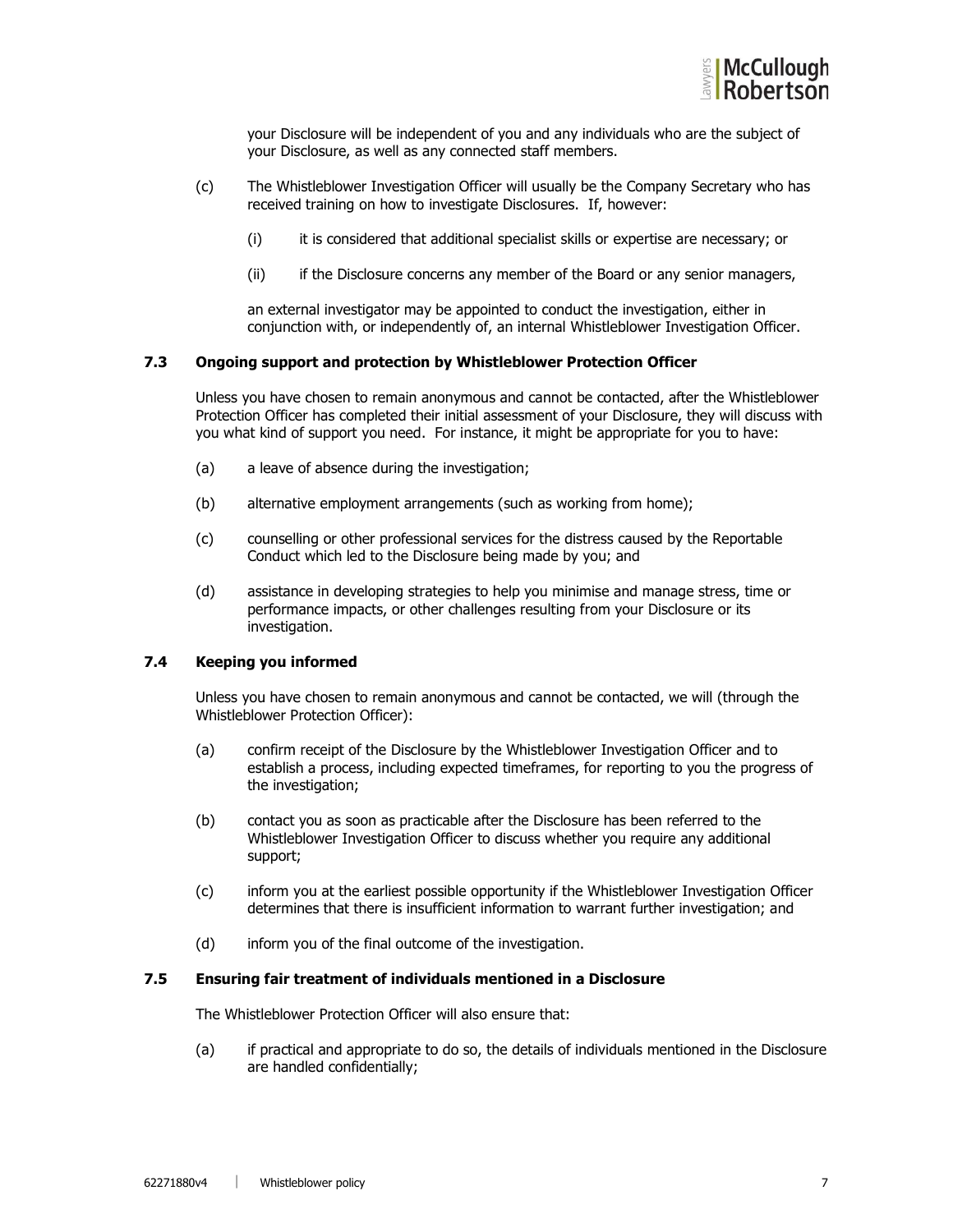

your Disclosure will be independent of you and any individuals who are the subject of your Disclosure, as well as any connected staff members.

- (c) The Whistleblower Investigation Officer will usually be the Company Secretary who has received training on how to investigate Disclosures. If, however:
	- (i) it is considered that additional specialist skills or expertise are necessary; or
	- (ii) if the Disclosure concerns any member of the Board or any senior managers,

an external investigator may be appointed to conduct the investigation, either in conjunction with, or independently of, an internal Whistleblower Investigation Officer.

#### 7.3 Ongoing support and protection by Whistleblower Protection Officer

Unless you have chosen to remain anonymous and cannot be contacted, after the Whistleblower Protection Officer has completed their initial assessment of your Disclosure, they will discuss with you what kind of support you need. For instance, it might be appropriate for you to have:

- (a) a leave of absence during the investigation;
- (b) alternative employment arrangements (such as working from home);
- (c) counselling or other professional services for the distress caused by the Reportable Conduct which led to the Disclosure being made by you; and
- (d) assistance in developing strategies to help you minimise and manage stress, time or performance impacts, or other challenges resulting from your Disclosure or its investigation.

### 7.4 Keeping you informed

Unless you have chosen to remain anonymous and cannot be contacted, we will (through the Whistleblower Protection Officer):

- (a) confirm receipt of the Disclosure by the Whistleblower Investigation Officer and to establish a process, including expected timeframes, for reporting to you the progress of the investigation;
- (b) contact you as soon as practicable after the Disclosure has been referred to the Whistleblower Investigation Officer to discuss whether you require any additional support;
- (c) inform you at the earliest possible opportunity if the Whistleblower Investigation Officer determines that there is insufficient information to warrant further investigation; and
- (d) inform you of the final outcome of the investigation.

#### 7.5 Ensuring fair treatment of individuals mentioned in a Disclosure

The Whistleblower Protection Officer will also ensure that:

(a) if practical and appropriate to do so, the details of individuals mentioned in the Disclosure are handled confidentially;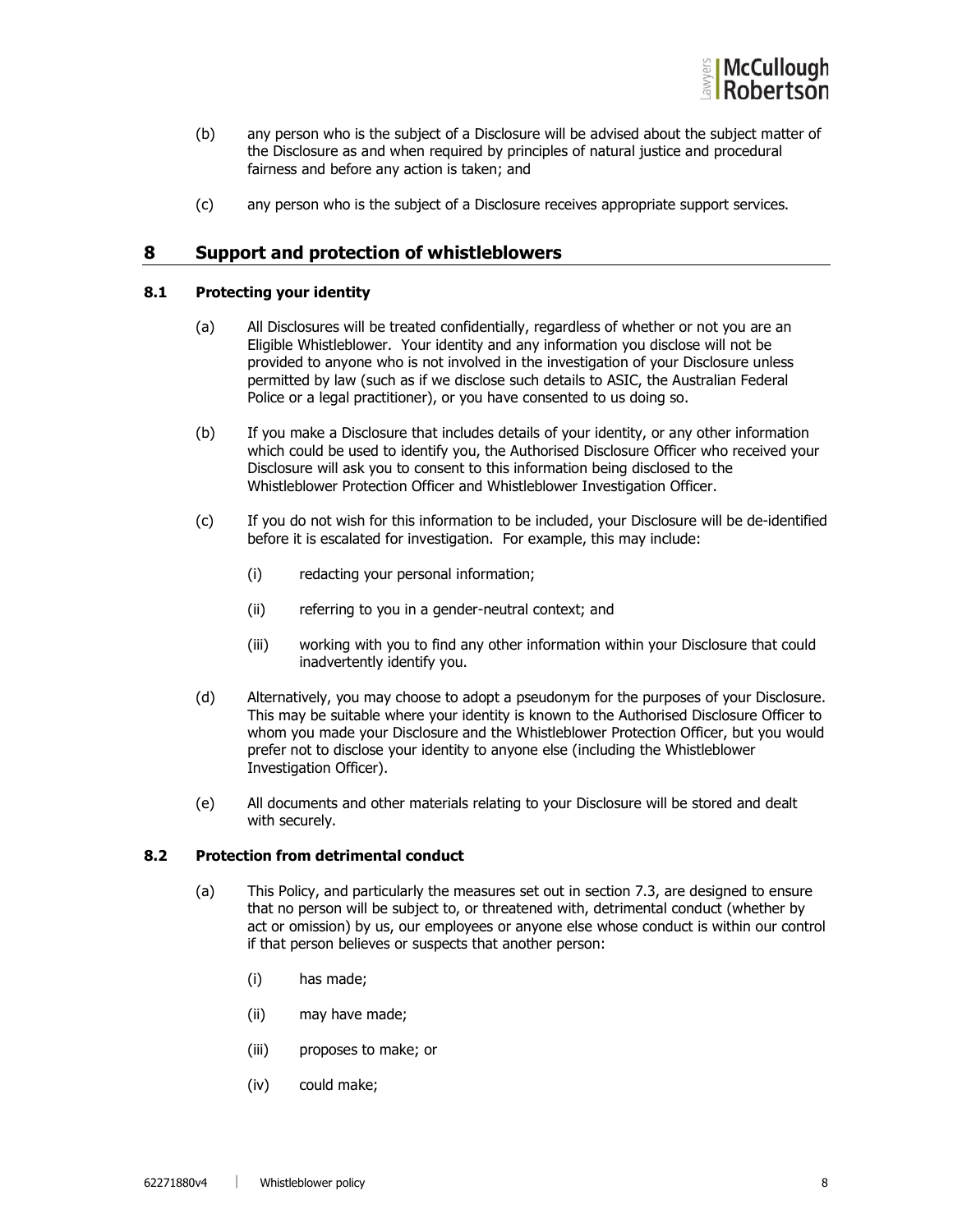

- (b) any person who is the subject of a Disclosure will be advised about the subject matter of the Disclosure as and when required by principles of natural justice and procedural fairness and before any action is taken; and
- (c) any person who is the subject of a Disclosure receives appropriate support services.

## 8 Support and protection of whistleblowers

#### 8.1 Protecting your identity

- (a) All Disclosures will be treated confidentially, regardless of whether or not you are an Eligible Whistleblower. Your identity and any information you disclose will not be provided to anyone who is not involved in the investigation of your Disclosure unless permitted by law (such as if we disclose such details to ASIC, the Australian Federal Police or a legal practitioner), or you have consented to us doing so.
- (b) If you make a Disclosure that includes details of your identity, or any other information which could be used to identify you, the Authorised Disclosure Officer who received your Disclosure will ask you to consent to this information being disclosed to the Whistleblower Protection Officer and Whistleblower Investigation Officer.
- (c) If you do not wish for this information to be included, your Disclosure will be de-identified before it is escalated for investigation. For example, this may include:
	- (i) redacting your personal information;
	- (ii) referring to you in a gender-neutral context; and
	- (iii) working with you to find any other information within your Disclosure that could inadvertently identify you.
- (d) Alternatively, you may choose to adopt a pseudonym for the purposes of your Disclosure. This may be suitable where your identity is known to the Authorised Disclosure Officer to whom you made your Disclosure and the Whistleblower Protection Officer, but you would prefer not to disclose your identity to anyone else (including the Whistleblower Investigation Officer).
- (e) All documents and other materials relating to your Disclosure will be stored and dealt with securely.

## 8.2 Protection from detrimental conduct

- (a) This Policy, and particularly the measures set out in section 7.3, are designed to ensure that no person will be subject to, or threatened with, detrimental conduct (whether by act or omission) by us, our employees or anyone else whose conduct is within our control if that person believes or suspects that another person:
	- (i) has made;
	- (ii) may have made;
	- (iii) proposes to make; or
	- (iv) could make;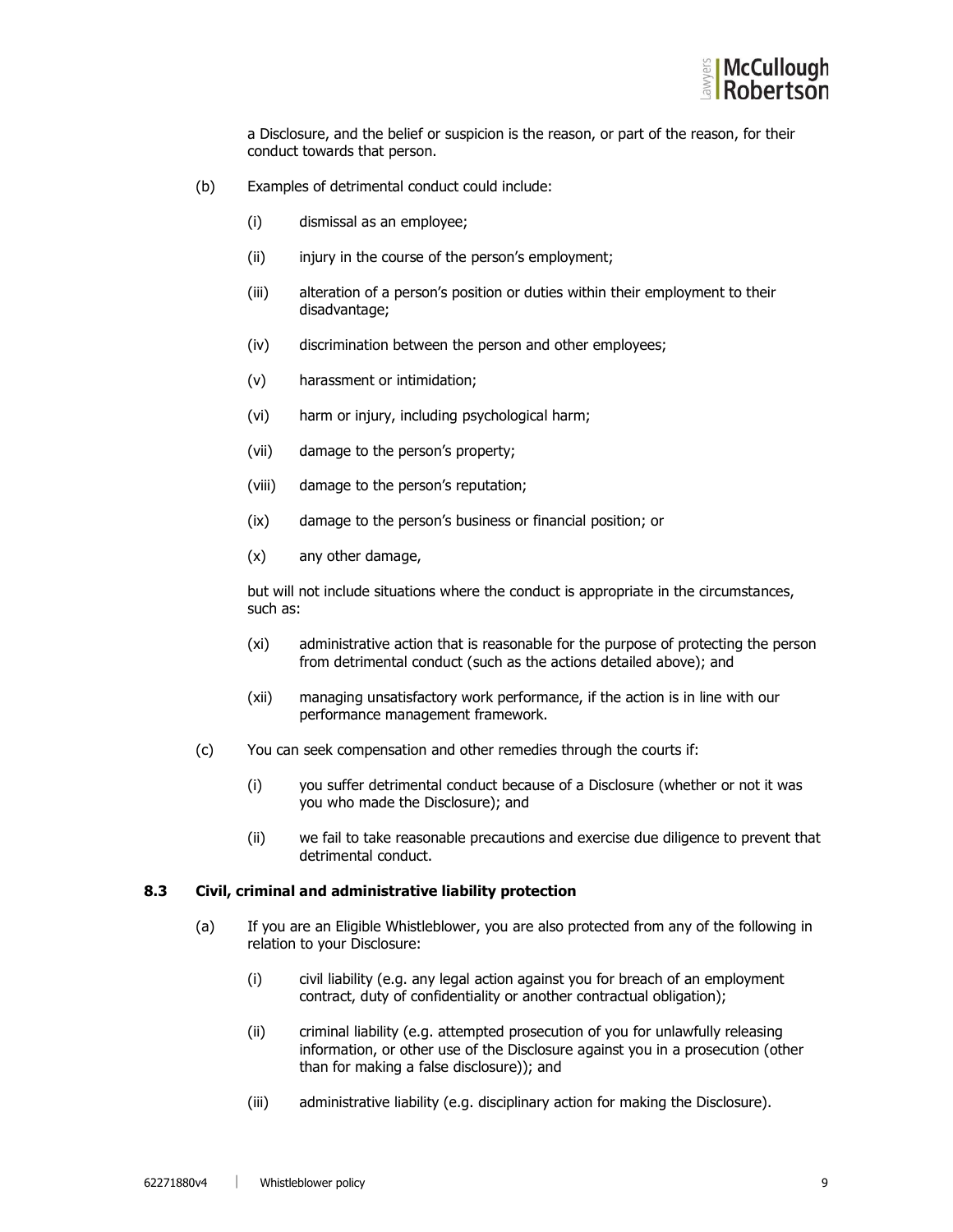

a Disclosure, and the belief or suspicion is the reason, or part of the reason, for their conduct towards that person.

- (b) Examples of detrimental conduct could include:
	- (i) dismissal as an employee;
	- (ii) injury in the course of the person's employment;
	- (iii) alteration of a person's position or duties within their employment to their disadvantage;
	- (iv) discrimination between the person and other employees;
	- (v) harassment or intimidation;
	- (vi) harm or injury, including psychological harm;
	- (vii) damage to the person's property;
	- (viii) damage to the person's reputation;
	- (ix) damage to the person's business or financial position; or
	- (x) any other damage,

but will not include situations where the conduct is appropriate in the circumstances, such as:

- (xi) administrative action that is reasonable for the purpose of protecting the person from detrimental conduct (such as the actions detailed above); and
- (xii) managing unsatisfactory work performance, if the action is in line with our performance management framework.
- (c) You can seek compensation and other remedies through the courts if:
	- (i) you suffer detrimental conduct because of a Disclosure (whether or not it was you who made the Disclosure); and
	- (ii) we fail to take reasonable precautions and exercise due diligence to prevent that detrimental conduct.

#### 8.3 Civil, criminal and administrative liability protection

- (a) If you are an Eligible Whistleblower, you are also protected from any of the following in relation to your Disclosure:
	- (i) civil liability (e.g. any legal action against you for breach of an employment contract, duty of confidentiality or another contractual obligation);
	- (ii) criminal liability (e.g. attempted prosecution of you for unlawfully releasing information, or other use of the Disclosure against you in a prosecution (other than for making a false disclosure)); and
	- (iii) administrative liability (e.g. disciplinary action for making the Disclosure).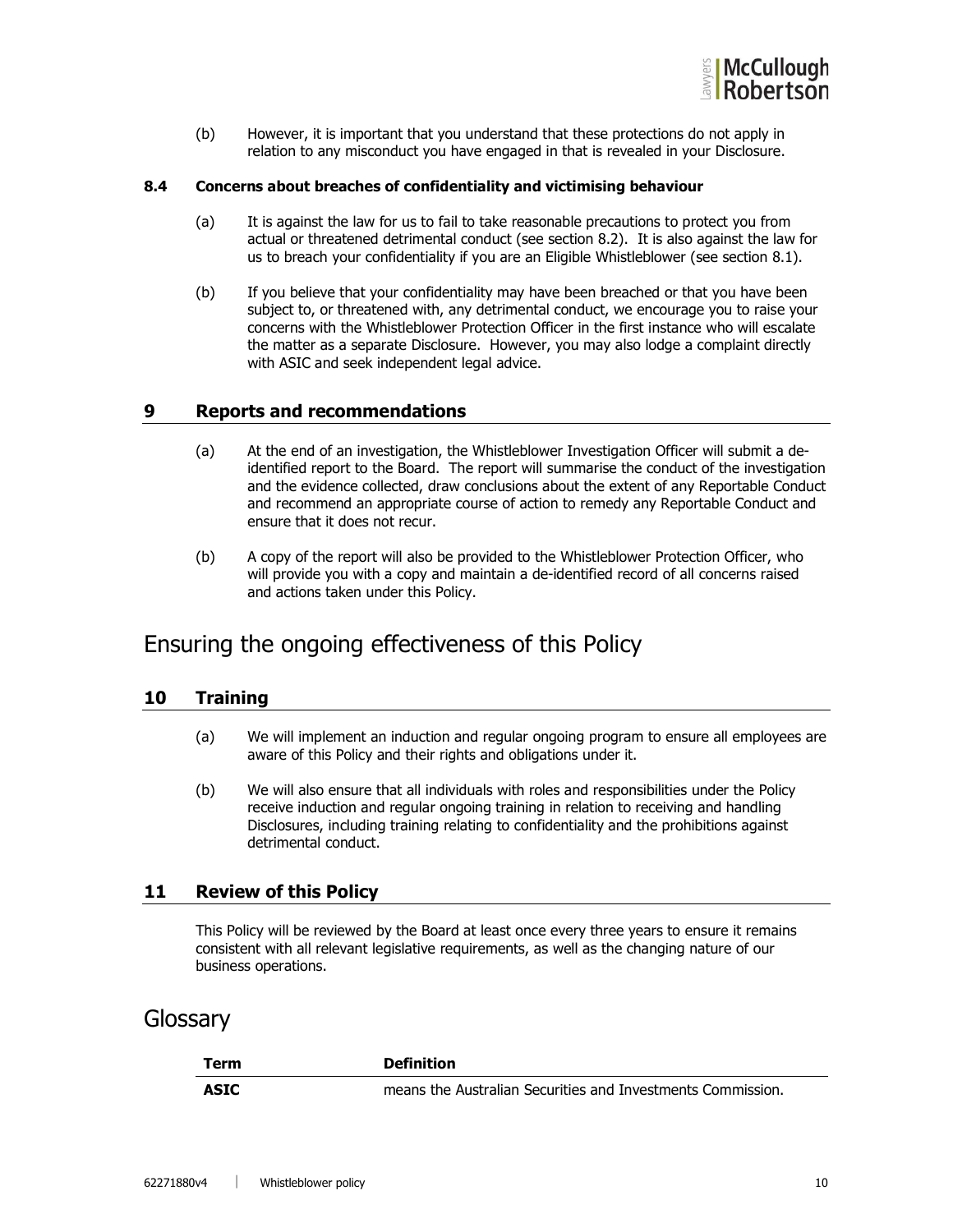

(b) However, it is important that you understand that these protections do not apply in relation to any misconduct you have engaged in that is revealed in your Disclosure.

#### 8.4 Concerns about breaches of confidentiality and victimising behaviour

- (a) It is against the law for us to fail to take reasonable precautions to protect you from actual or threatened detrimental conduct (see section 8.2). It is also against the law for us to breach your confidentiality if you are an Eligible Whistleblower (see section 8.1).
- (b) If you believe that your confidentiality may have been breached or that you have been subject to, or threatened with, any detrimental conduct, we encourage you to raise your concerns with the Whistleblower Protection Officer in the first instance who will escalate the matter as a separate Disclosure. However, you may also lodge a complaint directly with ASIC and seek independent legal advice.

## 9 Reports and recommendations

- (a) At the end of an investigation, the Whistleblower Investigation Officer will submit a deidentified report to the Board. The report will summarise the conduct of the investigation and the evidence collected, draw conclusions about the extent of any Reportable Conduct and recommend an appropriate course of action to remedy any Reportable Conduct and ensure that it does not recur.
- (b) A copy of the report will also be provided to the Whistleblower Protection Officer, who will provide you with a copy and maintain a de-identified record of all concerns raised and actions taken under this Policy.

# Ensuring the ongoing effectiveness of this Policy

## 10 Training

- (a) We will implement an induction and regular ongoing program to ensure all employees are aware of this Policy and their rights and obligations under it.
- (b) We will also ensure that all individuals with roles and responsibilities under the Policy receive induction and regular ongoing training in relation to receiving and handling Disclosures, including training relating to confidentiality and the prohibitions against detrimental conduct.

### 11 Review of this Policy

This Policy will be reviewed by the Board at least once every three years to ensure it remains consistent with all relevant legislative requirements, as well as the changing nature of our business operations.

## **Glossary**

| Term        | <b>Definition</b>                                           |
|-------------|-------------------------------------------------------------|
| <b>ASIC</b> | means the Australian Securities and Investments Commission. |